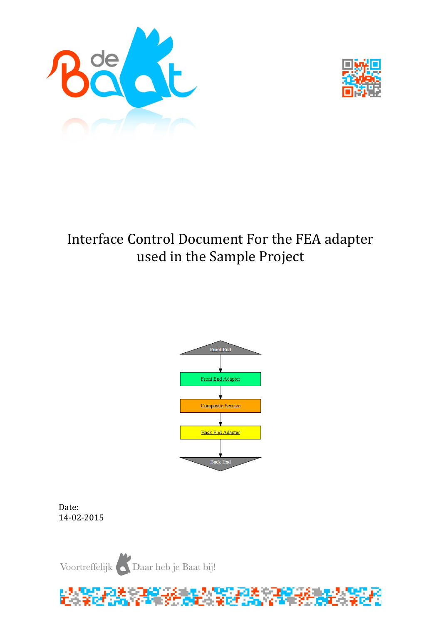



# Interface Control Document For the FEA adapter used in the Sample Project



Date: 14-02-2015

Voortreffelijk Daar heb je Baat bij!

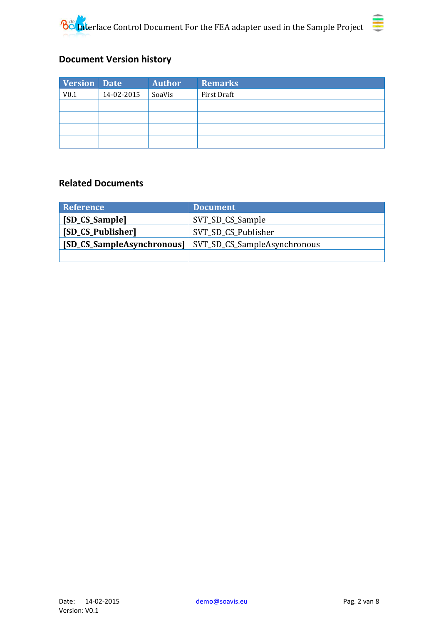

| <b>Version Date</b> |            | <b>Author</b> | <b>Remarks</b> |
|---------------------|------------|---------------|----------------|
| V <sub>0.1</sub>    | 14-02-2015 | SoaVis        | First Draft    |
|                     |            |               |                |
|                     |            |               |                |
|                     |            |               |                |
|                     |            |               |                |

## **Related Documents**

| <b>Reference</b>  | <b>Document</b>                                                |  |
|-------------------|----------------------------------------------------------------|--|
| [SD_CS_Sample]    | SVT_SD_CS_Sample                                               |  |
| [SD_CS_Publisher] | SVT_SD_CS_Publisher                                            |  |
|                   | <b>[SD_CS_SampleAsynchronous]</b> SVT_SD_CS_SampleAsynchronous |  |
|                   |                                                                |  |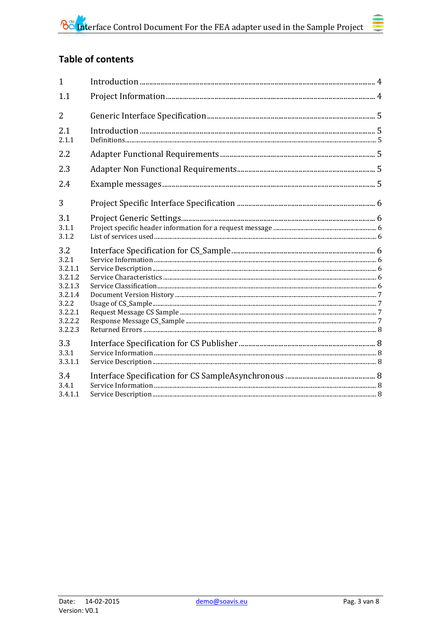# **Table of contents**

| $\mathbf{1}$                                                                                       |  |
|----------------------------------------------------------------------------------------------------|--|
| 1.1                                                                                                |  |
| $\overline{2}$                                                                                     |  |
| 2.1<br>2.1.1                                                                                       |  |
| 2.2                                                                                                |  |
| 2.3                                                                                                |  |
| 2.4                                                                                                |  |
| 3                                                                                                  |  |
| 3.1<br>3.1.1<br>3.1.2                                                                              |  |
| 3.2<br>3.2.1<br>3.2.1.1<br>3.2.1.2<br>3.2.1.3<br>3.2.1.4<br>3.2.2<br>3.2.2.1<br>3.2.2.2<br>3.2.2.3 |  |
| 3.3<br>3.3.1<br>3.3.1.1                                                                            |  |
| 3.4<br>3.4.1<br>3.4.1.1                                                                            |  |

≣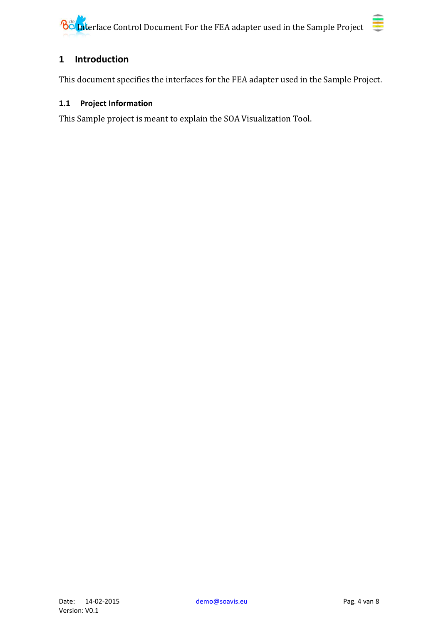# <span id="page-3-0"></span>**1 Introduction**

<span id="page-3-1"></span>This document specifies the interfaces for the FEA adapter used in the Sample Project.

# **1.1 Project Information**

This Sample project is meant to explain the SOA Visualization Tool.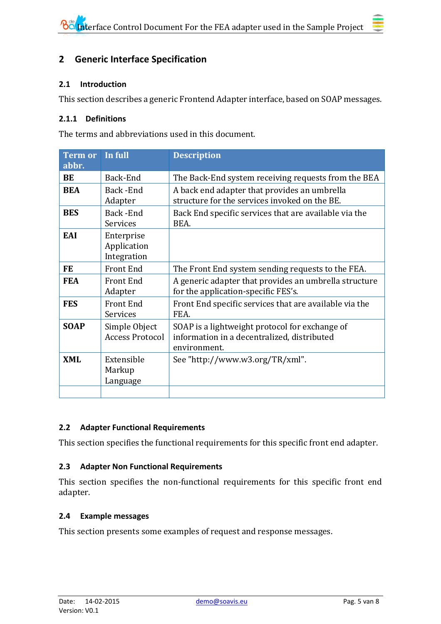### <span id="page-4-0"></span>**2 Generic Interface Specification**

#### <span id="page-4-1"></span>**2.1 Introduction**

This section describes a generic Frontend Adapter interface, based on SOAP messages.

#### <span id="page-4-2"></span>**2.1.1 Definitions**

The terms and abbreviations used in this document.

| <b>Term or</b><br>abbr.            | In full                                  | <b>Description</b>                                                                                            |  |
|------------------------------------|------------------------------------------|---------------------------------------------------------------------------------------------------------------|--|
| BE                                 | Back-End                                 | The Back-End system receiving requests from the BEA                                                           |  |
| <b>BEA</b>                         | Back-End<br>Adapter                      | A back end adapter that provides an umbrella<br>structure for the services invoked on the BE.                 |  |
| <b>BES</b><br>Back-End<br>Services |                                          | Back End specific services that are available via the<br>BEA.                                                 |  |
| EAI                                | Enterprise<br>Application<br>Integration |                                                                                                               |  |
| <b>FE</b>                          | <b>Front End</b>                         | The Front End system sending requests to the FEA.                                                             |  |
| <b>FEA</b>                         | <b>Front End</b><br>Adapter              | A generic adapter that provides an umbrella structure<br>for the application-specific FES's.                  |  |
| <b>FES</b>                         | <b>Front End</b><br>Services             | Front End specific services that are available via the<br>FEA.                                                |  |
| <b>SOAP</b>                        | Simple Object<br><b>Access Protocol</b>  | SOAP is a lightweight protocol for exchange of<br>information in a decentralized, distributed<br>environment. |  |
| <b>XML</b>                         | Extensible<br>Markup<br>Language         | See "http://www.w3.org/TR/xml".                                                                               |  |
|                                    |                                          |                                                                                                               |  |

#### <span id="page-4-3"></span>**2.2 Adapter Functional Requirements**

<span id="page-4-4"></span>This section specifies the functional requirements for this specific front end adapter.

#### **2.3 Adapter Non Functional Requirements**

This section specifies the non-functional requirements for this specific front end adapter.

#### <span id="page-4-5"></span>**2.4 Example messages**

This section presents some examples of request and response messages.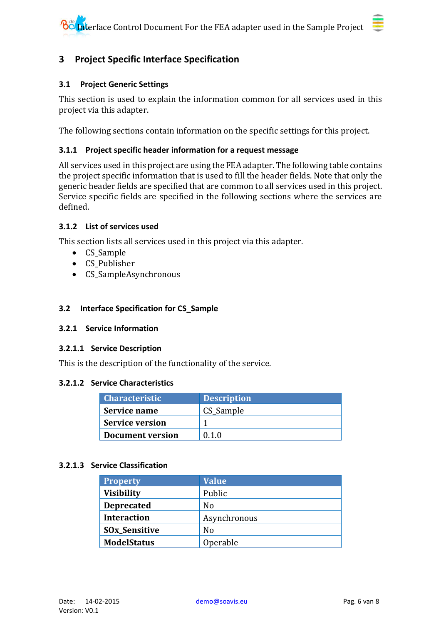# <span id="page-5-0"></span>**3 Project Specific Interface Specification**

#### <span id="page-5-1"></span>**3.1 Project Generic Settings**

This section is used to explain the information common for all services used in this project via this adapter.

The following sections contain information on the specific settings for this project.

#### <span id="page-5-2"></span>**3.1.1 Project specific header information for a request message**

All services used in this project are using the FEA adapter. The following table contains the project specific information that is used to fill the header fields. Note that only the generic header fields are specified that are common to all services used in this project. Service specific fields are specified in the following sections where the services are defined.

#### <span id="page-5-3"></span>**3.1.2 List of services used**

This section lists all services used in this project via this adapter.

- CS\_Sample
- CS\_Publisher
- CS SampleAsynchronous

#### <span id="page-5-4"></span>**3.2 Interface Specification for CS\_Sample**

#### <span id="page-5-5"></span>**3.2.1 Service Information**

#### <span id="page-5-6"></span>**3.2.1.1 Service Description**

This is the description of the functionality of the service.

#### <span id="page-5-7"></span>**3.2.1.2 Service Characteristics**

| <b>Characteristic</b>  | <b>Description</b> |
|------------------------|--------------------|
| Service name           | CS Sample          |
| <b>Service version</b> |                    |
| Document version       | 010                |

#### <span id="page-5-8"></span>**3.2.1.3 Service Classification**

| <b>Property</b>      | <b>Value</b> |
|----------------------|--------------|
| <b>Visibility</b>    | Public       |
| <b>Deprecated</b>    | No           |
| <b>Interaction</b>   | Asynchronous |
| <b>SOx_Sensitive</b> | No           |
| <b>ModelStatus</b>   | Operable     |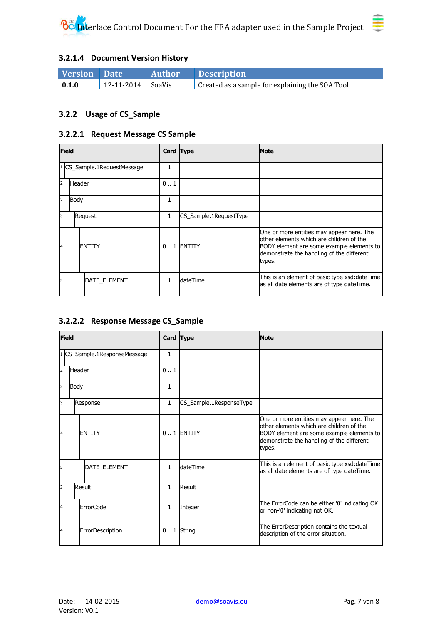<span id="page-6-0"></span>

| <b>Version</b> Date |                     | <b>Author</b> | <b>Example 1</b> Description                     |
|---------------------|---------------------|---------------|--------------------------------------------------|
| $\vert 0.1.0 \vert$ | 12-11-2014   SoaVis |               | Created as a sample for explaining the SOA Tool. |

#### <span id="page-6-1"></span>**3.2.2 Usage of CS\_Sample**

#### <span id="page-6-2"></span>**3.2.2.1 Request Message CS Sample**

| <b>Field</b>   |        |                           | Card Type    |                        | <b>Note</b>                                                                                                                                                                               |
|----------------|--------|---------------------------|--------------|------------------------|-------------------------------------------------------------------------------------------------------------------------------------------------------------------------------------------|
|                |        | CS_Sample.1RequestMessage |              |                        |                                                                                                                                                                                           |
| $\overline{2}$ | Header |                           | 01           |                        |                                                                                                                                                                                           |
| $\overline{2}$ | Body   |                           | 1            |                        |                                                                                                                                                                                           |
| l3             |        | Request                   | $\mathbf{1}$ | CS_Sample.1RequestType |                                                                                                                                                                                           |
| 4              |        | <b>ENTITY</b>             |              | $0.1$ ENTITY           | One or more entities may appear here. The<br>other elements which are children of the<br>BODY element are some example elements to<br>demonstrate the handling of the different<br>types. |
| 15             |        | <b>DATE ELEMENT</b>       |              | dateTime               | This is an element of basic type xsd:dateTime<br>as all date elements are of type dateTime.                                                                                               |

#### <span id="page-6-3"></span>**3.2.2.2 Response Message CS\_Sample**

| <b>Field</b> |        |                            | Card Type    | <b>Note</b>             |                                                                                                                                                                                           |
|--------------|--------|----------------------------|--------------|-------------------------|-------------------------------------------------------------------------------------------------------------------------------------------------------------------------------------------|
|              |        | CS_Sample.1ResponseMessage | 1            |                         |                                                                                                                                                                                           |
| 2            | Header |                            | 0.1          |                         |                                                                                                                                                                                           |
| 2            | Body   |                            | $\mathbf{1}$ |                         |                                                                                                                                                                                           |
| 3            |        | Response                   | $\mathbf{1}$ | CS_Sample.1ResponseType |                                                                                                                                                                                           |
| 4            |        | <b>ENTITY</b>              |              | $0.1$ FNTITY            | One or more entities may appear here. The<br>other elements which are children of the<br>BODY element are some example elements to<br>demonstrate the handling of the different<br>types. |
| 5            |        | <b>DATE ELEMENT</b>        | 1            | dateTime                | This is an element of basic type xsd:dateTime<br>as all date elements are of type dateTime.                                                                                               |
| 3            |        | Result                     | $\mathbf{1}$ | Result                  |                                                                                                                                                                                           |
| 4            |        | <b>ErrorCode</b>           | 1            | Integer                 | The ErrorCode can be either '0' indicating OK<br>or non-'0' indicating not OK.                                                                                                            |
| 4            |        | ErrorDescription           |              | $0.1$ String            | The ErrorDescription contains the textual<br>description of the error situation.                                                                                                          |